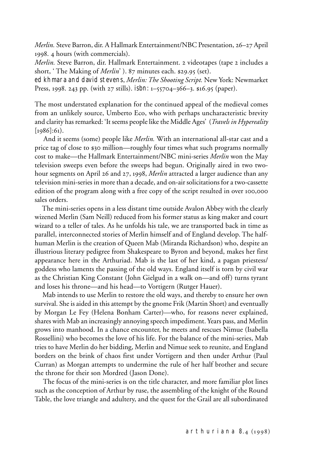*Merlin.* Steve Barron, dir. A Hallmark Entertainment/NBC Presentation, 26–27 April 1998. 4 hours (with commercials).

*Merlin.* Steve Barron, dir. Hallmark Entertainment. 2 videotapes (tape 2 includes a short, ' The Making of *Merlin*' ). 87 minutes each. \$29.95 (set).

ed khmara and david stevens, *Merlin: The Shooting Script.* New York: Newmarket Press, 1998. 243 pp. (with 27 stills). isbn: 1–55704–366–3. \$16.95 (paper).

The most understated explanation for the continued appeal of the medieval comes from an unlikely source, Umberto Eco, who with perhaps uncharacteristic brevity and clarity has remarked: 'It seems people like the Middle Ages' (*Travels in Hypereality*  $[1986]:61$ ).

 And it seems (some) people like *Merlin.* With an international all-star cast and a price tag of close to \$30 million—roughly four times what such programs normally cost to make—the Hallmark Entertainment/NBC mini-series *Merlin* won the May television sweeps even before the sweeps had begun. Originally aired in two twohour segments on April 26 and 27, 1998, *Merlin* attracted a larger audience than any television mini-series in more than a decade, and on-air solicitations for a two-cassette edition of the program along with a free copy of the script resulted in over 100,000 sales orders.

 The mini-series opens in a less distant time outside Avalon Abbey with the clearly wizened Merlin (Sam Neill) reduced from his former status as king maker and court wizard to a teller of tales. As he unfolds his tale, we are transported back in time as parallel, interconnected stories of Merlin himself and of England develop. The halfhuman Merlin is the creation of Queen Mab (Miranda Richardson) who, despite an illustrious literary pedigree from Shakespeare to Byron and beyond, makes her first appearance here in the Arthuriad. Mab is the last of her kind, a pagan priestess/ goddess who laments the passing of the old ways. England itself is torn by civil war as the Christian King Constant (John Gielgud in a walk on—and off) turns tyrant and loses his throne—and his head—to Vortigern (Rutger Hauer).

 Mab intends to use Merlin to restore the old ways, and thereby to ensure her own survival. She is aided in this attempt by the gnome Frik (Martin Short) and eventually by Morgan Le Fey (Helena Bonham Carter)—who, for reasons never explained, shares with Mab an increasingly annoying speech impediment. Years pass, and Merlin grows into manhood. In a chance encounter, he meets and rescues Nimue (Isabella Rossellini) who becomes the love of his life. For the balance of the mini-series, Mab tries to have Merlin do her bidding, Merlin and Nimue seek to reunite, and England borders on the brink of chaos first under Vortigern and then under Arthur (Paul Curran) as Morgan attempts to undermine the rule of her half brother and secure the throne for their son Mordred (Jason Done).

 The focus of the mini-series is on the title character, and more familiar plot lines such as the conception of Arthur by ruse, the assembling of the knight of the Round Table, the love triangle and adultery, and the quest for the Grail are all subordinated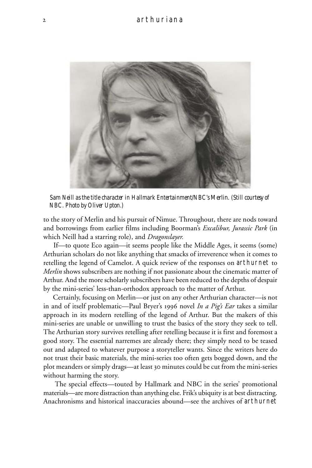

*Sam Neill as the title character in Hallmark Entertainment/NBC's* Merlin. *(Still courtesy of NBC. Photo by Oliver Upton.)*

to the story of Merlin and his pursuit of Nimue. Throughout, there are nods toward and borrowings from earlier films including Boorman's *Excalibur, Jurassic Park* (in which Neill had a starring role), and *Dragonslayer.*

 If—to quote Eco again—it seems people like the Middle Ages, it seems (some) Arthurian scholars do not like anything that smacks of irreverence when it comes to retelling the legend of Camelot. A quick review of the responses on arthurnet to *Merlin* shows subscribers are nothing if not passionate about the cinematic matter of Arthur. And the more scholarly subscribers have been reduced to the depths of despair by the mini-series' less-than-orthodox approach to the matter of Arthur.

 Certainly, focusing on Merlin—or just on any other Arthurian character—is not in and of itself problematic—Paul Bryer's 1996 novel *In a Pig's Ear* takes a similar approach in its modern retelling of the legend of Arthur. But the makers of this mini-series are unable or unwilling to trust the basics of the story they seek to tell. The Arthurian story survives retelling after retelling because it is first and foremost a good story. The essential narremes are already there; they simply need to be teased out and adapted to whatever purpose a storyteller wants. Since the writers here do not trust their basic materials, the mini-series too often gets bogged down, and the plot meanders or simply drags—at least 30 minutes could be cut from the mini-series without harming the story.

 The special effects—touted by Hallmark and NBC in the series' promotional materials—are more distraction than anything else. Frik's ubiquity is at best distracting. Anachronisms and historical inaccuracies abound—see the archives of arthurnet